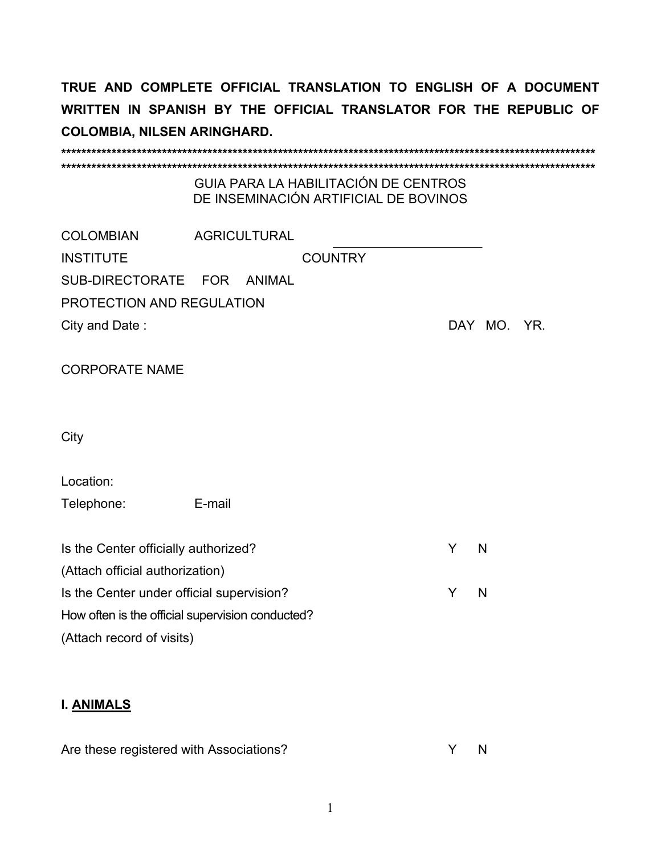|                                                  |                     | GUIA PARA LA HABILITACIÓN DE CENTROS<br>DE INSEMINACIÓN ARTIFICIAL DE BOVINOS |   |             |  |
|--------------------------------------------------|---------------------|-------------------------------------------------------------------------------|---|-------------|--|
| <b>COLOMBIAN</b>                                 | <b>AGRICULTURAL</b> |                                                                               |   |             |  |
| <b>INSTITUTE</b>                                 |                     | <b>COUNTRY</b>                                                                |   |             |  |
| SUB-DIRECTORATE FOR                              | ANIMAL              |                                                                               |   |             |  |
| PROTECTION AND REGULATION                        |                     |                                                                               |   |             |  |
| City and Date:                                   |                     |                                                                               |   | DAY MO. YR. |  |
| <b>CORPORATE NAME</b>                            |                     |                                                                               |   |             |  |
| City                                             |                     |                                                                               |   |             |  |
| Location:                                        |                     |                                                                               |   |             |  |
| Telephone:                                       | E-mail              |                                                                               |   |             |  |
| Is the Center officially authorized?             |                     |                                                                               | Y | N           |  |
| (Attach official authorization)                  |                     |                                                                               |   |             |  |
| Is the Center under official supervision?        |                     |                                                                               | Y | N           |  |
| How often is the official supervision conducted? |                     |                                                                               |   |             |  |
| (Attach record of visits)                        |                     |                                                                               |   |             |  |
| <b>I. ANIMALS</b>                                |                     |                                                                               |   |             |  |

Are these registered with Associations? Y N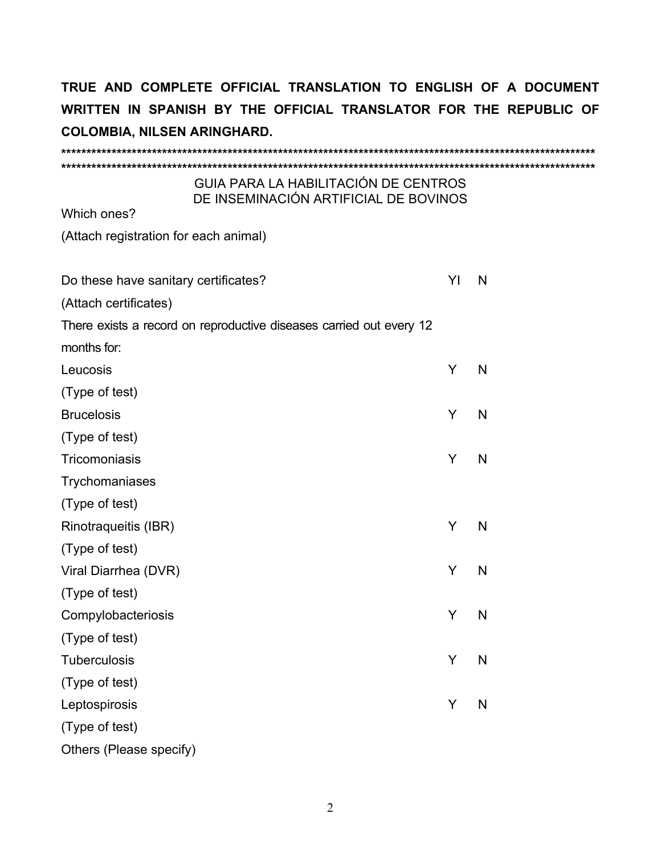|                                       | GUIA PARA LA HABILITACIÓN DE CENTROS<br>DE INSEMINACIÓN ARTIFICIAL DE BOVINOS |    |   |
|---------------------------------------|-------------------------------------------------------------------------------|----|---|
| Which ones?                           |                                                                               |    |   |
| (Attach registration for each animal) |                                                                               |    |   |
|                                       |                                                                               |    |   |
| Do these have sanitary certificates?  |                                                                               | YI | N |
| (Attach certificates)                 |                                                                               |    |   |
|                                       | There exists a record on reproductive diseases carried out every 12           |    |   |
| months for:                           |                                                                               |    |   |
| Leucosis                              |                                                                               | Y  | N |
| (Type of test)                        |                                                                               |    |   |
| <b>Brucelosis</b>                     |                                                                               | Y  | N |
| (Type of test)                        |                                                                               |    |   |
| Tricomoniasis                         |                                                                               | Y  | N |
| Trychomaniases                        |                                                                               |    |   |
| (Type of test)                        |                                                                               |    |   |
| Rinotraqueitis (IBR)                  |                                                                               | Y  | N |
| (Type of test)                        |                                                                               |    |   |
| Viral Diarrhea (DVR)                  |                                                                               | Y  | N |
| (Type of test)                        |                                                                               |    |   |
| Compylobacteriosis                    |                                                                               | Y  | N |
| (Type of test)                        |                                                                               |    |   |
| Tuberculosis                          |                                                                               | Y  | N |
| (Type of test)                        |                                                                               |    |   |
| Leptospirosis                         |                                                                               | Y  | N |
| (Type of test)                        |                                                                               |    |   |
| Others (Please specify)               |                                                                               |    |   |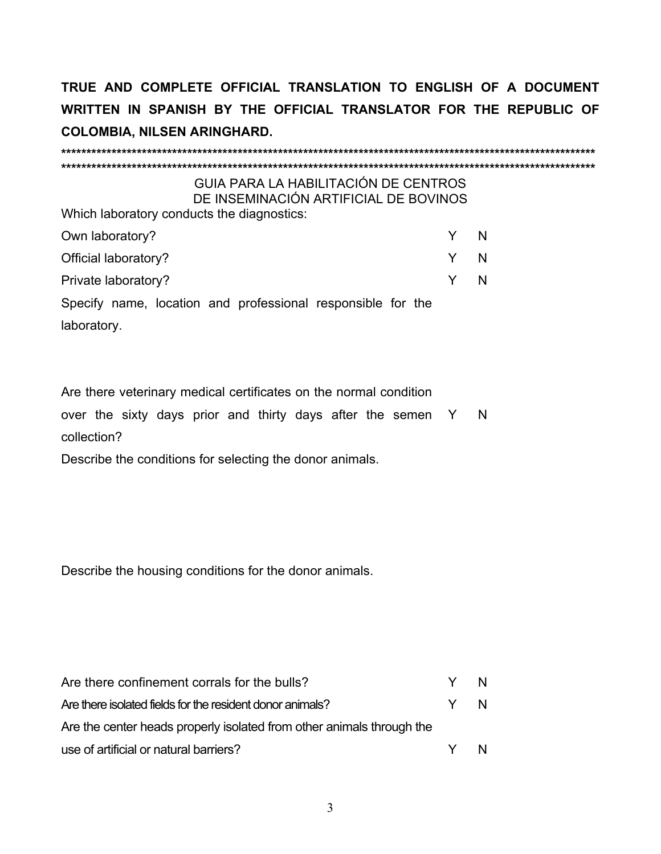GUIA PARA LA HABILITACIÓN DE CENTROS DE INSEMINACIÓN ARTIFICIAL DE BOVINOS Which laboratory conducts the diagnostics: Y  $\mathsf{N}$ Own laboratory? Y.  $\mathsf{N}$ Official laboratory? Y. Private laboratory? N<sub>1</sub> Specify name, location and professional responsible for the laboratory.

Are there veterinary medical certificates on the normal condition over the sixty days prior and thirty days after the semen Y N collection?

Describe the conditions for selecting the donor animals.

Describe the housing conditions for the donor animals.

| Are there confinement corrals for the bulls?                          | Y N |     |
|-----------------------------------------------------------------------|-----|-----|
| Are there isolated fields for the resident donor animals?             | Y N |     |
| Are the center heads properly isolated from other animals through the |     |     |
| use of artificial or natural barriers?                                | Y.  | - N |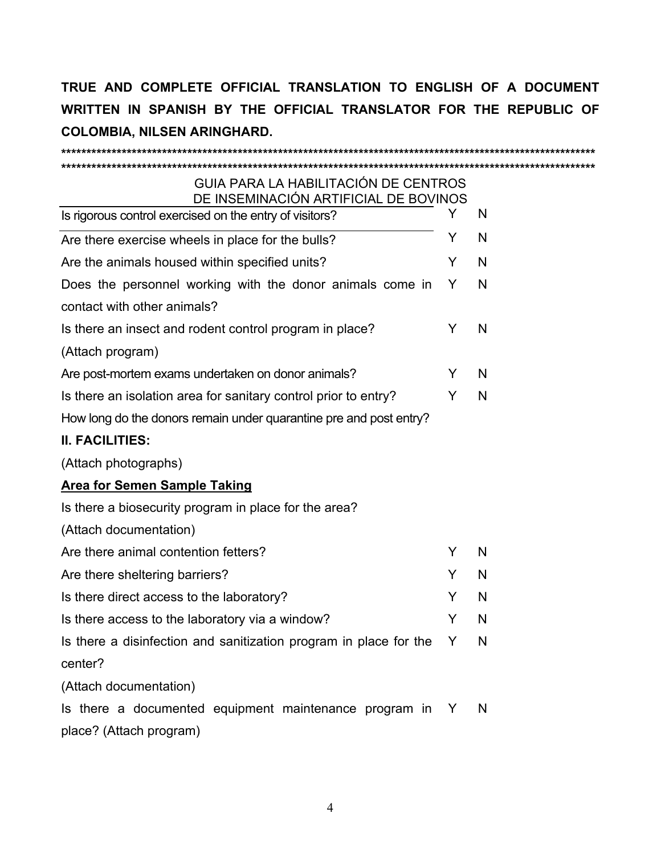| GUIA PARA LA HABILITACIÓN DE CENTROS<br>DE INSEMINACIÓN ARTIFICIAL DE BOVINOS |   |   |
|-------------------------------------------------------------------------------|---|---|
| Is rigorous control exercised on the entry of visitors?                       | Y | N |
| Are there exercise wheels in place for the bulls?                             | Y | N |
| Are the animals housed within specified units?                                | Y | N |
| Does the personnel working with the donor animals come in                     | Y | N |
| contact with other animals?                                                   |   |   |
| Is there an insect and rodent control program in place?                       | Y | N |
| (Attach program)                                                              |   |   |
| Are post-mortem exams undertaken on donor animals?                            | Y | N |
| Is there an isolation area for sanitary control prior to entry?               | Y | N |
| How long do the donors remain under quarantine pre and post entry?            |   |   |
| <b>II. FACILITIES:</b>                                                        |   |   |
| (Attach photographs)                                                          |   |   |
| <b>Area for Semen Sample Taking</b>                                           |   |   |
| Is there a biosecurity program in place for the area?                         |   |   |
| (Attach documentation)                                                        |   |   |
| Are there animal contention fetters?                                          | Y | N |
| Are there sheltering barriers?                                                | Y | N |
| Is there direct access to the laboratory?                                     | Y | N |
| Is there access to the laboratory via a window?                               | Y | N |
| Is there a disinfection and sanitization program in place for the Y           |   | N |
| center?                                                                       |   |   |
| (Attach documentation)                                                        |   |   |
| Is there a documented equipment maintenance program in Y                      |   | N |
| place? (Attach program)                                                       |   |   |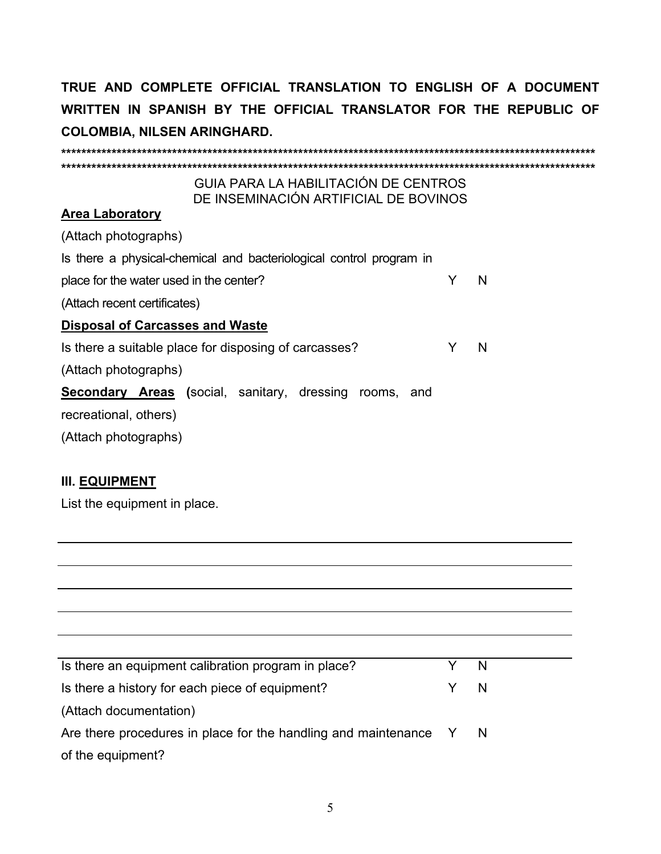GUIA PARA LA HABILITACIÓN DE CENTROS DE INSEMINACIÓN ARTIFICIAL DE BOVINOS **Area Laboratory** (Attach photographs) Is there a physical-chemical and bacteriological control program in place for the water used in the center? Y.  $\mathsf{N}$ (Attach recent certificates) **Disposal of Carcasses and Waste** Is there a suitable place for disposing of carcasses? Y  $\mathsf{N}$ (Attach photographs) Secondary Areas (social, sanitary, dressing rooms, and recreational, others) (Attach photographs)

# **III. EQUIPMENT**

List the equipment in place.

| Is there an equipment calibration program in place?            | Y N |          |
|----------------------------------------------------------------|-----|----------|
| Is there a history for each piece of equipment?                |     | <b>N</b> |
| (Attach documentation)                                         |     |          |
| Are there procedures in place for the handling and maintenance |     | <b>N</b> |
| of the equipment?                                              |     |          |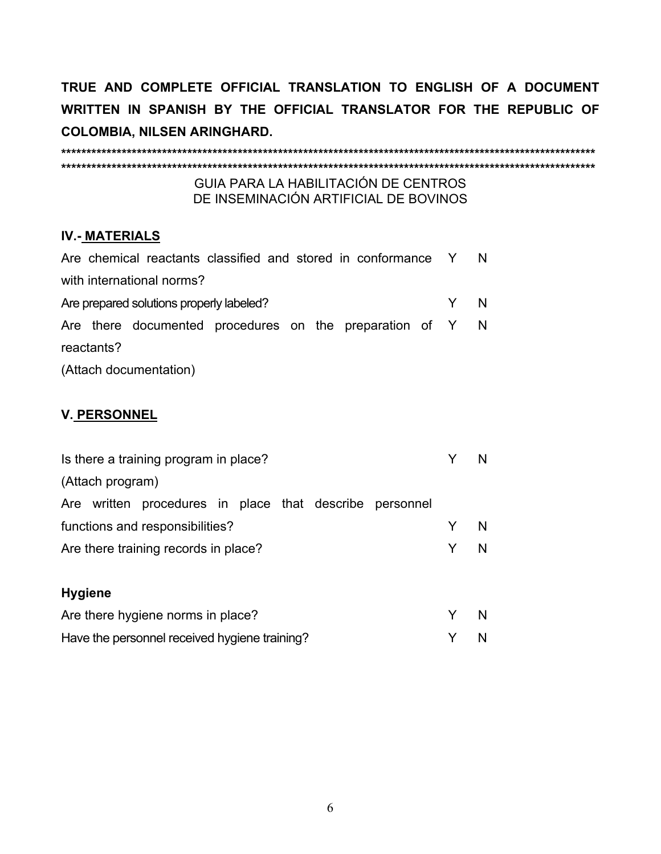GUIA PARA LA HABILITACIÓN DE CENTROS DE INSEMINACIÓN ARTIFICIAL DE BOVINOS

### **IV.- MATERIALS**

| Are chemical reactants classified and stored in conformance Y |     |  |
|---------------------------------------------------------------|-----|--|
| with international norms?                                     |     |  |
| Are prepared solutions properly labeled?                      | Y N |  |
| Are there documented procedures on the preparation of Y N     |     |  |
| reactants?                                                    |     |  |
| (Attach documentation)                                        |     |  |

# **V. PERSONNEL**

| Is there a training program in place?                   |   |     |
|---------------------------------------------------------|---|-----|
| (Attach program)                                        |   |     |
| Are written procedures in place that describe personnel |   |     |
| functions and responsibilities?                         | Y | - N |
| Are there training records in place?                    | Y | - N |
|                                                         |   |     |
| <b>Hygiene</b>                                          |   |     |
| Are there hygiene norms in place?                       | Y | - N |
| Have the personnel received hygiene training?           |   |     |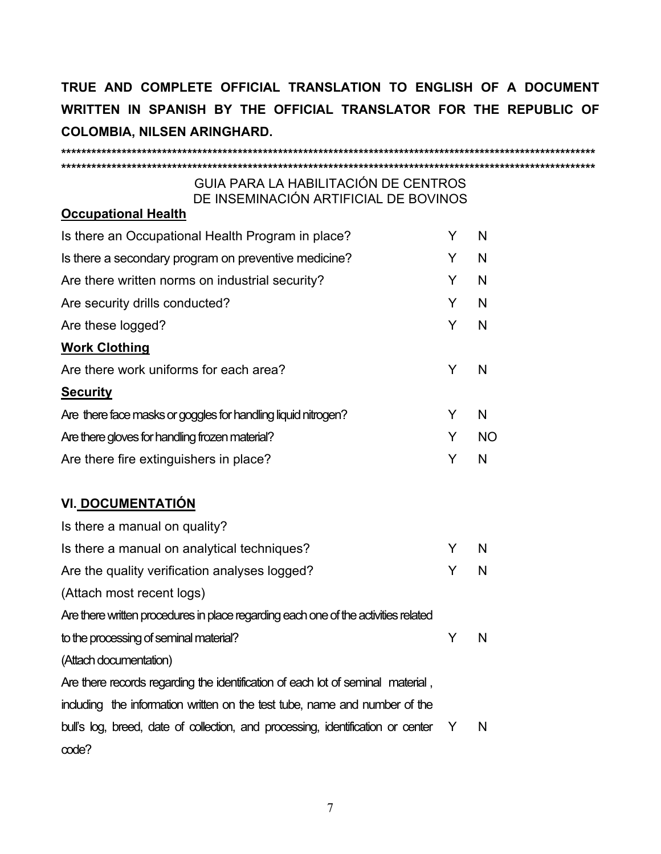#### GUIA PARA LA HABILITACIÓN DE CENTROS DE INSEMINACIÓN ARTIFICIAL DE BOVINOS **Occupational Health**  $\mathsf{N}$ Is there an Occupational Health Program in place? Y Is there a secondary program on preventive medicine? Y.  $\mathsf{N}$ Are there written norms on industrial security? Y. N<sub>1</sub> Are security drills conducted? Y.  $\mathsf{N}$ Are these logged? Y. N **Work Clothing** Are there work uniforms for each area? Y  $\mathsf{N}$ **Security** Are there face masks or goggles for handling liquid nitrogen? Y N. Are there gloves for handling frozen material? Y. **NO** Are there fire extinguishers in place?  $\overline{N}$ Y. VI. DOCUMENTATIÓN  $\mathbf{r} = \mathbf{r}$  $\cdots$

| Is there a manual on quality?                                                      |   |          |
|------------------------------------------------------------------------------------|---|----------|
| Is there a manual on analytical techniques?                                        | Y | N        |
| Are the quality verification analyses logged?                                      | Y | N        |
| (Attach most recent logs)                                                          |   |          |
| Are there written procedures in place regarding each one of the activities related |   |          |
| to the processing of seminal material?                                             | Y | N        |
| (Attach documentation)                                                             |   |          |
| Are there records regarding the identification of each lot of seminal material,    |   |          |
| including the information written on the test tube, name and number of the         |   |          |
| bull's log, breed, date of collection, and processing, identification or center Y  |   | <b>N</b> |
| code?                                                                              |   |          |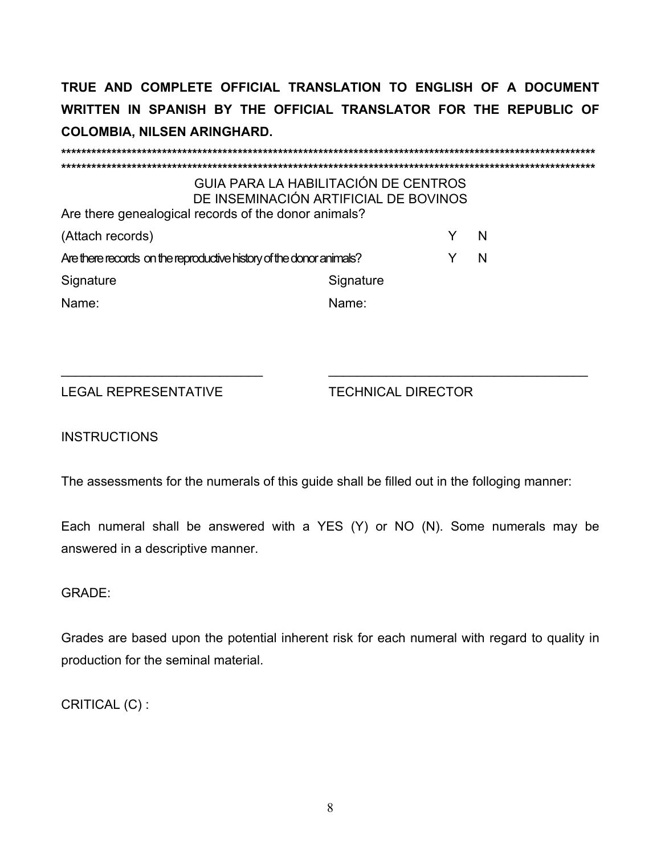| GUIA PARA LA HABILITACIÓN DE CENTROS<br>DE INSEMINACIÓN ARTIFICIAL DE BOVINOS |           |   |
|-------------------------------------------------------------------------------|-----------|---|
| Are there genealogical records of the donor animals?                          |           |   |
| (Attach records)                                                              |           | N |
| Are there records on the reproductive history of the donor animals?           |           | N |
| Signature                                                                     | Signature |   |
| Name:                                                                         | Name:     |   |

LEGAL REPRESENTATIVE

**TECHNICAL DIRECTOR** 

# **INSTRUCTIONS**

The assessments for the numerals of this guide shall be filled out in the folloging manner:

Each numeral shall be answered with a YES (Y) or NO (N). Some numerals may be answered in a descriptive manner.

**GRADE:** 

Grades are based upon the potential inherent risk for each numeral with regard to quality in production for the seminal material.

CRITICAL (C):